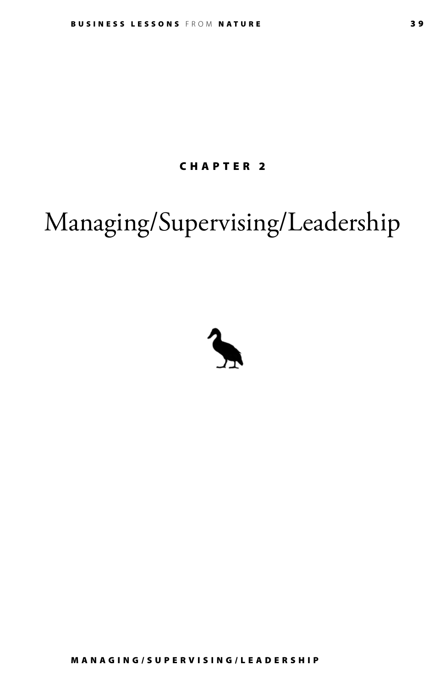## C H A P T E R 2

## Managing/Supervising/Leadership



M A N A G IN G / SU P E R V ISIN G / L E A D E R S H I P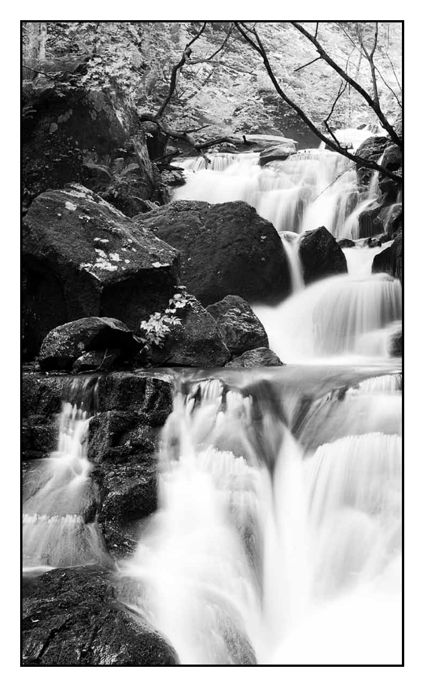